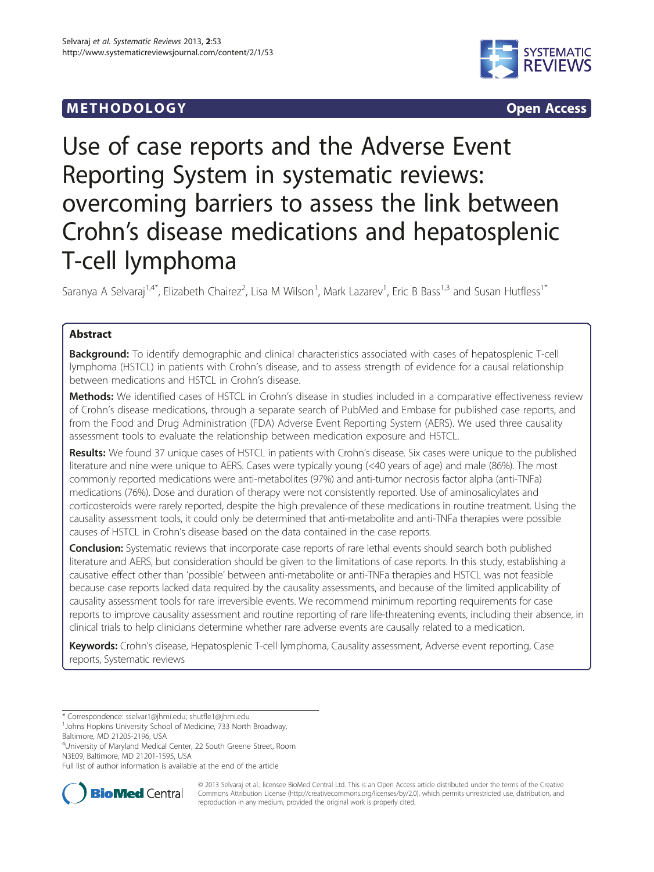# M E THODO L OGY Open Access



# Use of case reports and the Adverse Event Reporting System in systematic reviews: overcoming barriers to assess the link between Crohn's disease medications and hepatosplenic T-cell lymphoma

Saranya A Selvaraj<sup>1,4\*</sup>, Elizabeth Chairez<sup>2</sup>, Lisa M Wilson<sup>1</sup>, Mark Lazarev<sup>1</sup>, Eric B Bass<sup>1,3</sup> and Susan Hutfless<sup>1\*</sup>

# Abstract

Background: To identify demographic and clinical characteristics associated with cases of hepatosplenic T-cell lymphoma (HSTCL) in patients with Crohn's disease, and to assess strength of evidence for a causal relationship between medications and HSTCL in Crohn's disease.

Methods: We identified cases of HSTCL in Crohn's disease in studies included in a comparative effectiveness review of Crohn's disease medications, through a separate search of PubMed and Embase for published case reports, and from the Food and Drug Administration (FDA) Adverse Event Reporting System (AERS). We used three causality assessment tools to evaluate the relationship between medication exposure and HSTCL.

Results: We found 37 unique cases of HSTCL in patients with Crohn's disease. Six cases were unique to the published literature and nine were unique to AERS. Cases were typically young (<40 years of age) and male (86%). The most commonly reported medications were anti-metabolites (97%) and anti-tumor necrosis factor alpha (anti-TNFa) medications (76%). Dose and duration of therapy were not consistently reported. Use of aminosalicylates and corticosteroids were rarely reported, despite the high prevalence of these medications in routine treatment. Using the causality assessment tools, it could only be determined that anti-metabolite and anti-TNFa therapies were possible causes of HSTCL in Crohn's disease based on the data contained in the case reports.

**Conclusion:** Systematic reviews that incorporate case reports of rare lethal events should search both published literature and AERS, but consideration should be given to the limitations of case reports. In this study, establishing a causative effect other than 'possible' between anti-metabolite or anti-TNFa therapies and HSTCL was not feasible because case reports lacked data required by the causality assessments, and because of the limited applicability of causality assessment tools for rare irreversible events. We recommend minimum reporting requirements for case reports to improve causality assessment and routine reporting of rare life-threatening events, including their absence, in clinical trials to help clinicians determine whether rare adverse events are causally related to a medication.

Keywords: Crohn's disease, Hepatosplenic T-cell lymphoma, Causality assessment, Adverse event reporting, Case reports, Systematic reviews

Baltimore, MD 21205-2196, USA

Full list of author information is available at the end of the article



© 2013 Selvaraj et al.; licensee BioMed Central Ltd. This is an Open Access article distributed under the terms of the Creative Commons Attribution License [\(http://creativecommons.org/licenses/by/2.0\)](http://creativecommons.org/licenses/by/2.0), which permits unrestricted use, distribution, and reproduction in any medium, provided the original work is properly cited.

<sup>\*</sup> Correspondence: [sselvar1@jhmi.edu](mailto:sselvar1@jhmi.edu); [shutfle1@jhmi.edu](mailto:shutfle1@jhmi.edu) <sup>1</sup>

<sup>&</sup>lt;sup>1</sup> Johns Hopkins University School of Medicine, 733 North Broadway,

<sup>4</sup> University of Maryland Medical Center, 22 South Greene Street, Room N3E09, Baltimore, MD 21201-1595, USA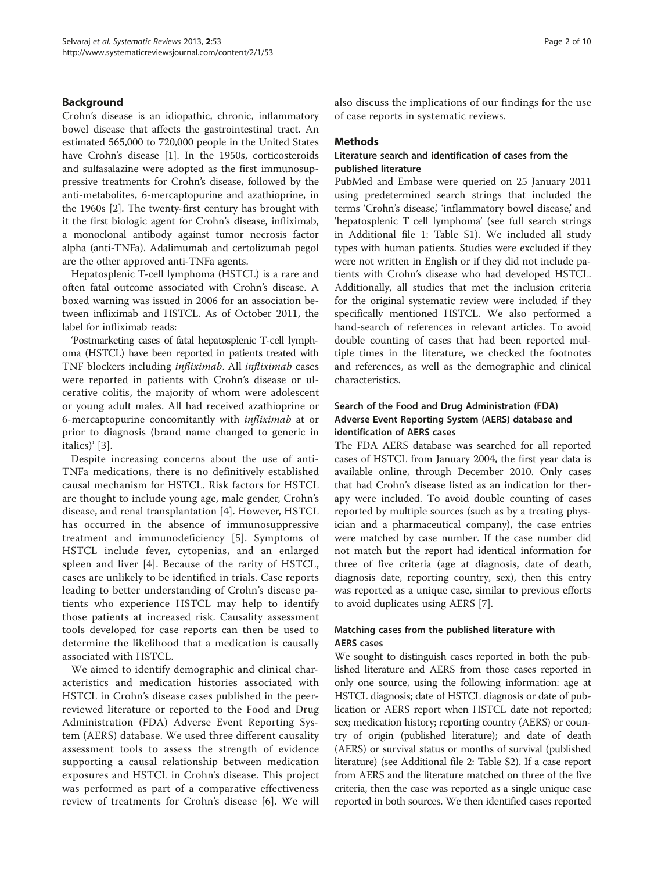# Background

Crohn's disease is an idiopathic, chronic, inflammatory bowel disease that affects the gastrointestinal tract. An estimated 565,000 to 720,000 people in the United States have Crohn's disease [\[1](#page-8-0)]. In the 1950s, corticosteroids and sulfasalazine were adopted as the first immunosuppressive treatments for Crohn's disease, followed by the anti-metabolites, 6-mercaptopurine and azathioprine, in the 1960s [[2\]](#page-8-0). The twenty-first century has brought with it the first biologic agent for Crohn's disease, infliximab, a monoclonal antibody against tumor necrosis factor alpha (anti-TNFa). Adalimumab and certolizumab pegol are the other approved anti-TNFa agents.

Hepatosplenic T-cell lymphoma (HSTCL) is a rare and often fatal outcome associated with Crohn's disease. A boxed warning was issued in 2006 for an association between infliximab and HSTCL. As of October 2011, the label for infliximab reads:

'Postmarketing cases of fatal hepatosplenic T-cell lymphoma (HSTCL) have been reported in patients treated with TNF blockers including infliximab. All infliximab cases were reported in patients with Crohn's disease or ulcerative colitis, the majority of whom were adolescent or young adult males. All had received azathioprine or 6-mercaptopurine concomitantly with infliximab at or prior to diagnosis (brand name changed to generic in italics)' [[3](#page-8-0)].

Despite increasing concerns about the use of anti-TNFa medications, there is no definitively established causal mechanism for HSTCL. Risk factors for HSTCL are thought to include young age, male gender, Crohn's disease, and renal transplantation [[4\]](#page-8-0). However, HSTCL has occurred in the absence of immunosuppressive treatment and immunodeficiency [\[5](#page-8-0)]. Symptoms of HSTCL include fever, cytopenias, and an enlarged spleen and liver [[4\]](#page-8-0). Because of the rarity of HSTCL, cases are unlikely to be identified in trials. Case reports leading to better understanding of Crohn's disease patients who experience HSTCL may help to identify those patients at increased risk. Causality assessment tools developed for case reports can then be used to determine the likelihood that a medication is causally associated with HSTCL.

We aimed to identify demographic and clinical characteristics and medication histories associated with HSTCL in Crohn's disease cases published in the peerreviewed literature or reported to the Food and Drug Administration (FDA) Adverse Event Reporting System (AERS) database. We used three different causality assessment tools to assess the strength of evidence supporting a causal relationship between medication exposures and HSTCL in Crohn's disease. This project was performed as part of a comparative effectiveness review of treatments for Crohn's disease [[6\]](#page-8-0). We will also discuss the implications of our findings for the use of case reports in systematic reviews.

## **Methods**

# Literature search and identification of cases from the published literature

PubMed and Embase were queried on 25 January 2011 using predetermined search strings that included the terms 'Crohn's disease,' 'inflammatory bowel disease,' and 'hepatosplenic T cell lymphoma' (see full search strings in Additional file [1](#page-8-0): Table S1). We included all study types with human patients. Studies were excluded if they were not written in English or if they did not include patients with Crohn's disease who had developed HSTCL. Additionally, all studies that met the inclusion criteria for the original systematic review were included if they specifically mentioned HSTCL. We also performed a hand-search of references in relevant articles. To avoid double counting of cases that had been reported multiple times in the literature, we checked the footnotes and references, as well as the demographic and clinical characteristics.

# Search of the Food and Drug Administration (FDA) Adverse Event Reporting System (AERS) database and identification of AERS cases

The FDA AERS database was searched for all reported cases of HSTCL from January 2004, the first year data is available online, through December 2010. Only cases that had Crohn's disease listed as an indication for therapy were included. To avoid double counting of cases reported by multiple sources (such as by a treating physician and a pharmaceutical company), the case entries were matched by case number. If the case number did not match but the report had identical information for three of five criteria (age at diagnosis, date of death, diagnosis date, reporting country, sex), then this entry was reported as a unique case, similar to previous efforts to avoid duplicates using AERS [[7\]](#page-8-0).

# Matching cases from the published literature with AERS cases

We sought to distinguish cases reported in both the published literature and AERS from those cases reported in only one source, using the following information: age at HSTCL diagnosis; date of HSTCL diagnosis or date of publication or AERS report when HSTCL date not reported; sex; medication history; reporting country (AERS) or country of origin (published literature); and date of death (AERS) or survival status or months of survival (published literature) (see Additional file [2:](#page-8-0) Table S2). If a case report from AERS and the literature matched on three of the five criteria, then the case was reported as a single unique case reported in both sources. We then identified cases reported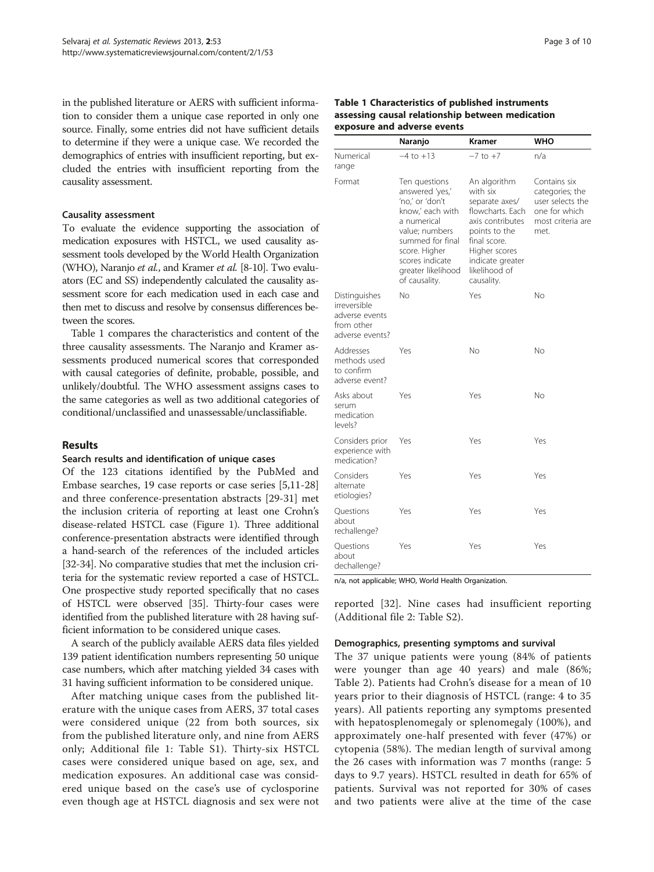in the published literature or AERS with sufficient information to consider them a unique case reported in only one source. Finally, some entries did not have sufficient details to determine if they were a unique case. We recorded the demographics of entries with insufficient reporting, but excluded the entries with insufficient reporting from the causality assessment.

#### Causality assessment

To evaluate the evidence supporting the association of medication exposures with HSTCL, we used causality assessment tools developed by the World Health Organization (WHO), Naranjo et al., and Kramer et al. [\[8-10](#page-8-0)]. Two evaluators (EC and SS) independently calculated the causality assessment score for each medication used in each case and then met to discuss and resolve by consensus differences between the scores.

Table 1 compares the characteristics and content of the three causality assessments. The Naranjo and Kramer assessments produced numerical scores that corresponded with causal categories of definite, probable, possible, and unlikely/doubtful. The WHO assessment assigns cases to the same categories as well as two additional categories of conditional/unclassified and unassessable/unclassifiable.

#### Results

#### Search results and identification of unique cases

Of the 123 citations identified by the PubMed and Embase searches, 19 case reports or case series [\[5,11-](#page-8-0)[28](#page-9-0)] and three conference-presentation abstracts [[29-31](#page-9-0)] met the inclusion criteria of reporting at least one Crohn's disease-related HSTCL case (Figure [1](#page-3-0)). Three additional conference-presentation abstracts were identified through a hand-search of the references of the included articles [[32](#page-9-0)-[34](#page-9-0)]. No comparative studies that met the inclusion criteria for the systematic review reported a case of HSTCL. One prospective study reported specifically that no cases of HSTCL were observed [[35](#page-9-0)]. Thirty-four cases were identified from the published literature with 28 having sufficient information to be considered unique cases.

A search of the publicly available AERS data files yielded 139 patient identification numbers representing 50 unique case numbers, which after matching yielded 34 cases with 31 having sufficient information to be considered unique.

After matching unique cases from the published literature with the unique cases from AERS, 37 total cases were considered unique (22 from both sources, six from the published literature only, and nine from AERS only; Additional file [1](#page-8-0): Table S1). Thirty-six HSTCL cases were considered unique based on age, sex, and medication exposures. An additional case was considered unique based on the case's use of cyclosporine even though age at HSTCL diagnosis and sex were not

| Table 1 Characteristics of published instruments |  |  |  |
|--------------------------------------------------|--|--|--|
| assessing causal relationship between medication |  |  |  |
| exposure and adverse events                      |  |  |  |

|                                                                                  | Naranjo                                                                                                                                                                                                 | Kramer                                                                                                                                                                                  | WHO                                                                                               |
|----------------------------------------------------------------------------------|---------------------------------------------------------------------------------------------------------------------------------------------------------------------------------------------------------|-----------------------------------------------------------------------------------------------------------------------------------------------------------------------------------------|---------------------------------------------------------------------------------------------------|
| Numerical<br>range                                                               | $-4$ to $+13$                                                                                                                                                                                           | $-7$ to $+7$                                                                                                                                                                            | n/a                                                                                               |
| Format                                                                           | Ten questions<br>answered 'yes,'<br>'no,' or 'don't<br>know,' each with<br>a numerical<br>value; numbers<br>summed for final<br>score. Higher<br>scores indicate<br>greater likelihood<br>of causality. | An algorithm<br>with six<br>separate axes/<br>flowcharts. Each<br>axis contributes<br>points to the<br>final score.<br>Higher scores<br>indicate greater<br>likelihood of<br>causality. | Contains six<br>categories; the<br>user selects the<br>one for which<br>most criteria are<br>met. |
| Distinguishes<br>irreversible<br>adverse events<br>from other<br>adverse events? | No                                                                                                                                                                                                      | Yes                                                                                                                                                                                     | No                                                                                                |
| Addresses<br>methods used<br>to confirm<br>adverse event?                        | Yes                                                                                                                                                                                                     | No                                                                                                                                                                                      | Nο                                                                                                |
| Asks about<br>serum<br>medication<br>levels?                                     | Yes                                                                                                                                                                                                     | Yes                                                                                                                                                                                     | No                                                                                                |
| Considers prior<br>experience with<br>medication?                                | Yes                                                                                                                                                                                                     | Yes                                                                                                                                                                                     | Yes                                                                                               |
| Considers<br>alternate<br>etiologies?                                            | Yes                                                                                                                                                                                                     | Yes                                                                                                                                                                                     | Yes                                                                                               |
| Questions<br>about<br>rechallenge?                                               | Yes                                                                                                                                                                                                     | Yes                                                                                                                                                                                     | Yes                                                                                               |
| Questions<br>about<br>dechallenge?                                               | Yes                                                                                                                                                                                                     | Yes                                                                                                                                                                                     | Yes                                                                                               |

n/a, not applicable; WHO, World Health Organization.

reported [[32](#page-9-0)]. Nine cases had insufficient reporting (Additional file [2](#page-8-0): Table S2).

#### Demographics, presenting symptoms and survival

The 37 unique patients were young (84% of patients were younger than age 40 years) and male (86%; Table [2\)](#page-4-0). Patients had Crohn's disease for a mean of 10 years prior to their diagnosis of HSTCL (range: 4 to 35 years). All patients reporting any symptoms presented with hepatosplenomegaly or splenomegaly (100%), and approximately one-half presented with fever (47%) or cytopenia (58%). The median length of survival among the 26 cases with information was 7 months (range: 5 days to 9.7 years). HSTCL resulted in death for 65% of patients. Survival was not reported for 30% of cases and two patients were alive at the time of the case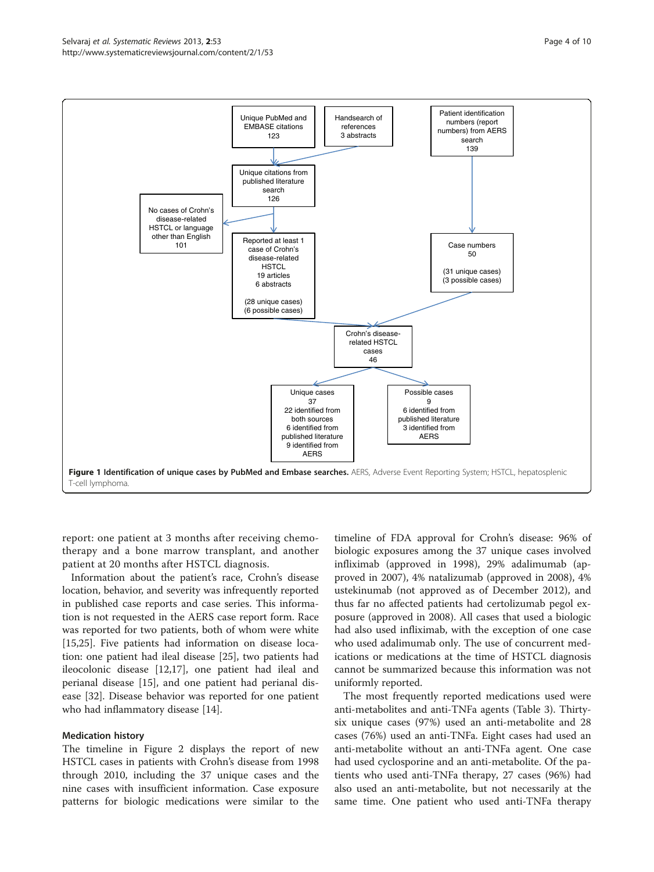<span id="page-3-0"></span>

report: one patient at 3 months after receiving chemotherapy and a bone marrow transplant, and another patient at 20 months after HSTCL diagnosis.

Information about the patient's race, Crohn's disease location, behavior, and severity was infrequently reported in published case reports and case series. This information is not requested in the AERS case report form. Race was reported for two patients, both of whom were white [[15,](#page-8-0)[25\]](#page-9-0). Five patients had information on disease location: one patient had ileal disease [[25](#page-9-0)], two patients had ileocolonic disease [\[12,17](#page-8-0)], one patient had ileal and perianal disease [\[15](#page-8-0)], and one patient had perianal disease [\[32](#page-9-0)]. Disease behavior was reported for one patient who had inflammatory disease [\[14](#page-8-0)].

#### Medication history

The timeline in Figure [2](#page-5-0) displays the report of new HSTCL cases in patients with Crohn's disease from 1998 through 2010, including the 37 unique cases and the nine cases with insufficient information. Case exposure patterns for biologic medications were similar to the timeline of FDA approval for Crohn's disease: 96% of biologic exposures among the 37 unique cases involved infliximab (approved in 1998), 29% adalimumab (approved in 2007), 4% natalizumab (approved in 2008), 4% ustekinumab (not approved as of December 2012), and thus far no affected patients had certolizumab pegol exposure (approved in 2008). All cases that used a biologic had also used infliximab, with the exception of one case who used adalimumab only. The use of concurrent medications or medications at the time of HSTCL diagnosis cannot be summarized because this information was not uniformly reported.

The most frequently reported medications used were anti-metabolites and anti-TNFa agents (Table [3\)](#page-6-0). Thirtysix unique cases (97%) used an anti-metabolite and 28 cases (76%) used an anti-TNFa. Eight cases had used an anti-metabolite without an anti-TNFa agent. One case had used cyclosporine and an anti-metabolite. Of the patients who used anti-TNFa therapy, 27 cases (96%) had also used an anti-metabolite, but not necessarily at the same time. One patient who used anti-TNFa therapy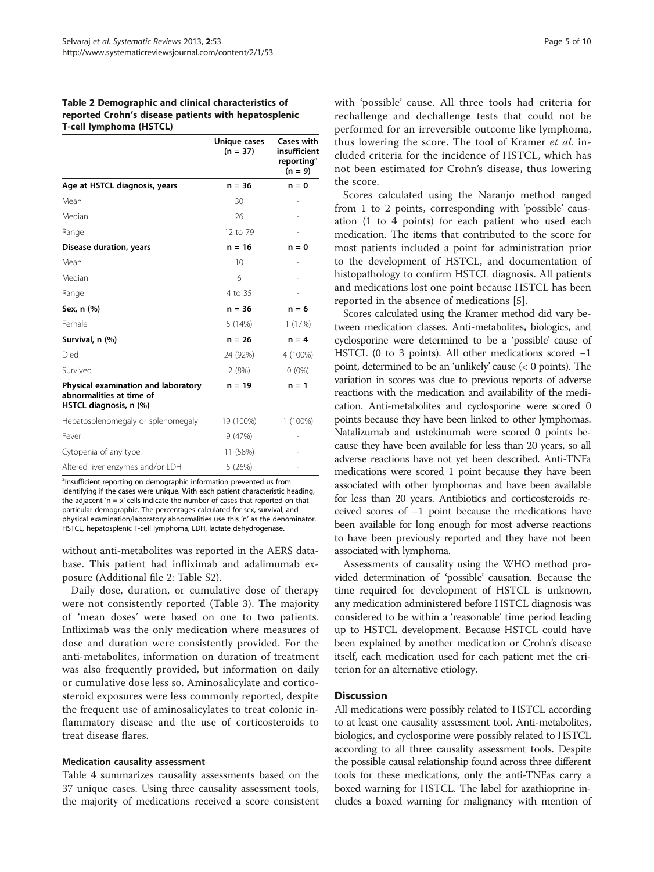#### <span id="page-4-0"></span>Table 2 Demographic and clinical characteristics of reported Crohn's disease patients with hepatosplenic T-cell lymphoma (HSTCL)

|                                                                                           | Unique cases<br>$(n = 37)$ | <b>Cases with</b><br>insufficient<br>reporting <sup>a</sup><br>$(n = 9)$ |
|-------------------------------------------------------------------------------------------|----------------------------|--------------------------------------------------------------------------|
| Age at HSTCL diagnosis, years                                                             | $n = 36$                   | $n = 0$                                                                  |
| Mean                                                                                      | 30                         |                                                                          |
| Median                                                                                    | 26                         |                                                                          |
| Range                                                                                     | 12 to 79                   |                                                                          |
| Disease duration, years                                                                   | $n = 16$                   | n = 0                                                                    |
| Mean                                                                                      | 10                         |                                                                          |
| Median                                                                                    | 6                          |                                                                          |
| Range                                                                                     | 4 to 35                    |                                                                          |
| Sex, n (%)                                                                                | $n = 36$                   | $n = 6$                                                                  |
| Female                                                                                    | 5 (14%)                    | 1(17%)                                                                   |
| Survival, n (%)                                                                           | $n = 26$                   | $n = 4$                                                                  |
| Died                                                                                      | 24 (92%)                   | 4 (100%)                                                                 |
| Survived                                                                                  | 2(8%)                      | $0(0\%)$                                                                 |
| Physical examination and laboratory<br>abnormalities at time of<br>HSTCL diagnosis, n (%) | $n = 19$                   | $n = 1$                                                                  |
| Hepatosplenomegaly or splenomegaly                                                        | 19 (100%)                  | $1(100\%)$                                                               |
| Fever                                                                                     | 9(47%)                     |                                                                          |
| Cytopenia of any type                                                                     | 11 (58%)                   |                                                                          |
| Altered liver enzymes and/or LDH                                                          | 5(26%)                     |                                                                          |

alnsufficient reporting on demographic information prevented us from identifying if the cases were unique. With each patient characteristic heading, the adjacent 'n  $=x'$  cells indicate the number of cases that reported on that particular demographic. The percentages calculated for sex, survival, and physical examination/laboratory abnormalities use this 'n' as the denominator. HSTCL, hepatosplenic T-cell lymphoma, LDH, lactate dehydrogenase.

without anti-metabolites was reported in the AERS database. This patient had infliximab and adalimumab exposure (Additional file [2:](#page-8-0) Table S2).

Daily dose, duration, or cumulative dose of therapy were not consistently reported (Table [3](#page-6-0)). The majority of 'mean doses' were based on one to two patients. Infliximab was the only medication where measures of dose and duration were consistently provided. For the anti-metabolites, information on duration of treatment was also frequently provided, but information on daily or cumulative dose less so. Aminosalicylate and corticosteroid exposures were less commonly reported, despite the frequent use of aminosalicylates to treat colonic inflammatory disease and the use of corticosteroids to treat disease flares.

#### Medication causality assessment

Table [4](#page-7-0) summarizes causality assessments based on the 37 unique cases. Using three causality assessment tools, the majority of medications received a score consistent with 'possible' cause. All three tools had criteria for rechallenge and dechallenge tests that could not be performed for an irreversible outcome like lymphoma, thus lowering the score. The tool of Kramer et al. included criteria for the incidence of HSTCL, which has not been estimated for Crohn's disease, thus lowering the score.

Scores calculated using the Naranjo method ranged from 1 to 2 points, corresponding with 'possible' causation (1 to 4 points) for each patient who used each medication. The items that contributed to the score for most patients included a point for administration prior to the development of HSTCL, and documentation of histopathology to confirm HSTCL diagnosis. All patients and medications lost one point because HSTCL has been reported in the absence of medications [\[5](#page-8-0)].

Scores calculated using the Kramer method did vary between medication classes. Anti-metabolites, biologics, and cyclosporine were determined to be a 'possible' cause of HSTCL (0 to 3 points). All other medications scored −1 point, determined to be an 'unlikely' cause (< 0 points). The variation in scores was due to previous reports of adverse reactions with the medication and availability of the medication. Anti-metabolites and cyclosporine were scored 0 points because they have been linked to other lymphomas. Natalizumab and ustekinumab were scored 0 points because they have been available for less than 20 years, so all adverse reactions have not yet been described. Anti-TNFa medications were scored 1 point because they have been associated with other lymphomas and have been available for less than 20 years. Antibiotics and corticosteroids received scores of −1 point because the medications have been available for long enough for most adverse reactions to have been previously reported and they have not been associated with lymphoma.

Assessments of causality using the WHO method provided determination of 'possible' causation. Because the time required for development of HSTCL is unknown, any medication administered before HSTCL diagnosis was considered to be within a 'reasonable' time period leading up to HSTCL development. Because HSTCL could have been explained by another medication or Crohn's disease itself, each medication used for each patient met the criterion for an alternative etiology.

#### **Discussion**

All medications were possibly related to HSTCL according to at least one causality assessment tool. Anti-metabolites, biologics, and cyclosporine were possibly related to HSTCL according to all three causality assessment tools. Despite the possible causal relationship found across three different tools for these medications, only the anti-TNFas carry a boxed warning for HSTCL. The label for azathioprine includes a boxed warning for malignancy with mention of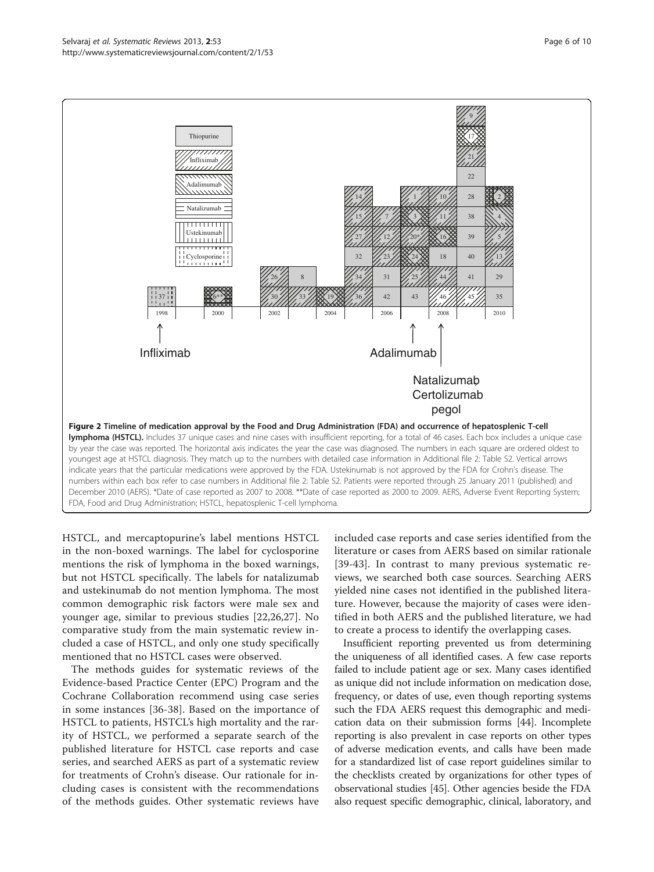<span id="page-5-0"></span>

HSTCL, and mercaptopurine's label mentions HSTCL in the non-boxed warnings. The label for cyclosporine mentions the risk of lymphoma in the boxed warnings, but not HSTCL specifically. The labels for natalizumab and ustekinumab do not mention lymphoma. The most common demographic risk factors were male sex and younger age, similar to previous studies [[22,26](#page-9-0),[27](#page-9-0)]. No comparative study from the main systematic review included a case of HSTCL, and only one study specifically mentioned that no HSTCL cases were observed.

The methods guides for systematic reviews of the Evidence-based Practice Center (EPC) Program and the Cochrane Collaboration recommend using case series in some instances [\[36](#page-9-0)-[38\]](#page-9-0). Based on the importance of HSTCL to patients, HSTCL's high mortality and the rarity of HSTCL, we performed a separate search of the published literature for HSTCL case reports and case series, and searched AERS as part of a systematic review for treatments of Crohn's disease. Our rationale for including cases is consistent with the recommendations of the methods guides. Other systematic reviews have

included case reports and case series identified from the literature or cases from AERS based on similar rationale [[39](#page-9-0)-[43\]](#page-9-0). In contrast to many previous systematic reviews, we searched both case sources. Searching AERS yielded nine cases not identified in the published literature. However, because the majority of cases were identified in both AERS and the published literature, we had to create a process to identify the overlapping cases.

Insufficient reporting prevented us from determining the uniqueness of all identified cases. A few case reports failed to include patient age or sex. Many cases identified as unique did not include information on medication dose, frequency, or dates of use, even though reporting systems such the FDA AERS request this demographic and medication data on their submission forms [[44\]](#page-9-0). Incomplete reporting is also prevalent in case reports on other types of adverse medication events, and calls have been made for a standardized list of case report guidelines similar to the checklists created by organizations for other types of observational studies [[45](#page-9-0)]. Other agencies beside the FDA also request specific demographic, clinical, laboratory, and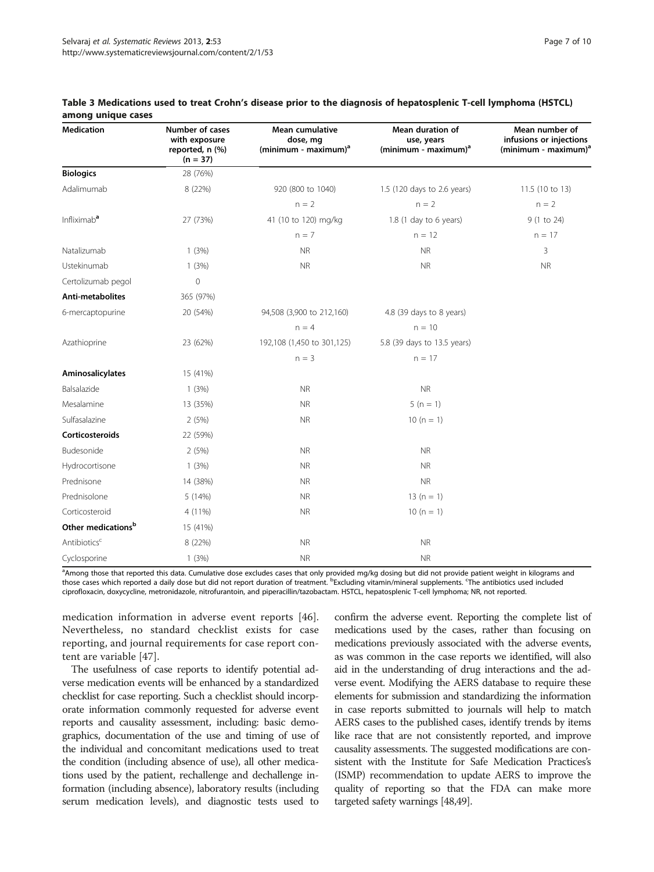| <b>Medication</b>              | Number of cases<br>with exposure<br>reported, n (%)<br>$(n = 37)$ | Mean cumulative<br>dose, mg<br>(minimum - maximum) $^a$ | Mean duration of<br>use, years<br>$(minimum - maximum)^a$ | Mean number of<br>infusions or injections<br>(minimum - maximum) <sup>a</sup> |
|--------------------------------|-------------------------------------------------------------------|---------------------------------------------------------|-----------------------------------------------------------|-------------------------------------------------------------------------------|
| <b>Biologics</b>               | 28 (76%)                                                          |                                                         |                                                           |                                                                               |
| Adalimumab                     | 8 (22%)                                                           | 920 (800 to 1040)                                       | 1.5 (120 days to 2.6 years)                               | 11.5 (10 to 13)                                                               |
|                                |                                                                   | $n = 2$                                                 | $n = 2$                                                   | $n = 2$                                                                       |
| Infliximab <sup>a</sup>        | 27 (73%)                                                          | 41 (10 to 120) mg/kg                                    | 1.8 (1 day to 6 years)                                    | 9 (1 to 24)                                                                   |
|                                |                                                                   | $n = 7$                                                 | $n = 12$                                                  | $n = 17$                                                                      |
| Natalizumab                    | 1(3%)                                                             | <b>NR</b>                                               | <b>NR</b>                                                 | 3                                                                             |
| Ustekinumab                    | 1(3%)                                                             | <b>NR</b>                                               | <b>NR</b>                                                 | <b>NR</b>                                                                     |
| Certolizumab pegol             | $\mathbf 0$                                                       |                                                         |                                                           |                                                                               |
| Anti-metabolites               | 365 (97%)                                                         |                                                         |                                                           |                                                                               |
| 6-mercaptopurine               | 20 (54%)                                                          | 94,508 (3,900 to 212,160)                               | 4.8 (39 days to 8 years)                                  |                                                                               |
|                                |                                                                   | $n = 4$                                                 | $n = 10$                                                  |                                                                               |
| Azathioprine                   | 23 (62%)                                                          | 192,108 (1,450 to 301,125)                              | 5.8 (39 days to 13.5 years)                               |                                                                               |
|                                |                                                                   | $n = 3$                                                 | $n = 17$                                                  |                                                                               |
| Aminosalicylates               | 15 (41%)                                                          |                                                         |                                                           |                                                                               |
| Balsalazide                    | 1(3%)                                                             | <b>NR</b>                                               | <b>NR</b>                                                 |                                                                               |
| Mesalamine                     | 13 (35%)                                                          | <b>NR</b>                                               | $5(n = 1)$                                                |                                                                               |
| Sulfasalazine                  | 2(5%)                                                             | <b>NR</b>                                               | $10(n = 1)$                                               |                                                                               |
| <b>Corticosteroids</b>         | 22 (59%)                                                          |                                                         |                                                           |                                                                               |
| Budesonide                     | 2(5%)                                                             | <b>NR</b>                                               | NR.                                                       |                                                                               |
| Hydrocortisone                 | 1(3%)                                                             | <b>NR</b>                                               | <b>NR</b>                                                 |                                                                               |
| Prednisone                     | 14 (38%)                                                          | <b>NR</b>                                               | <b>NR</b>                                                 |                                                                               |
| Prednisolone                   | 5(14%)                                                            | <b>NR</b>                                               | $13(n = 1)$                                               |                                                                               |
| Corticosteroid                 | 4 (11%)                                                           | <b>NR</b>                                               | $10(n = 1)$                                               |                                                                               |
| Other medications <sup>b</sup> | 15 (41%)                                                          |                                                         |                                                           |                                                                               |
| Antibiotics <sup>c</sup>       | 8 (22%)                                                           | <b>NR</b>                                               | <b>NR</b>                                                 |                                                                               |
| Cyclosporine                   | 1(3%)                                                             | <b>NR</b>                                               | <b>NR</b>                                                 |                                                                               |

## <span id="page-6-0"></span>Table 3 Medications used to treat Crohn's disease prior to the diagnosis of hepatosplenic T-cell lymphoma (HSTCL) among unique cases

a<br>Among those that reported this data. Cumulative dose excludes cases that only provided mg/kg dosing but did not provide patient weight in kilograms and those cases which reported a daily dose but did not report duration of treatment. <sup>b</sup>Excluding vitamin/mineral supplements. <sup>c</sup>The antibiotics used included ciprofloxacin, doxycycline, metronidazole, nitrofurantoin, and piperacillin/tazobactam. HSTCL, hepatosplenic T-cell lymphoma; NR, not reported.

medication information in adverse event reports [[46](#page-9-0)]. Nevertheless, no standard checklist exists for case reporting, and journal requirements for case report content are variable [[47\]](#page-9-0).

The usefulness of case reports to identify potential adverse medication events will be enhanced by a standardized checklist for case reporting. Such a checklist should incorporate information commonly requested for adverse event reports and causality assessment, including: basic demographics, documentation of the use and timing of use of the individual and concomitant medications used to treat the condition (including absence of use), all other medications used by the patient, rechallenge and dechallenge information (including absence), laboratory results (including serum medication levels), and diagnostic tests used to

confirm the adverse event. Reporting the complete list of medications used by the cases, rather than focusing on medications previously associated with the adverse events, as was common in the case reports we identified, will also aid in the understanding of drug interactions and the adverse event. Modifying the AERS database to require these elements for submission and standardizing the information in case reports submitted to journals will help to match AERS cases to the published cases, identify trends by items like race that are not consistently reported, and improve causality assessments. The suggested modifications are consistent with the Institute for Safe Medication Practices's (ISMP) recommendation to update AERS to improve the quality of reporting so that the FDA can make more targeted safety warnings [\[48,49](#page-9-0)].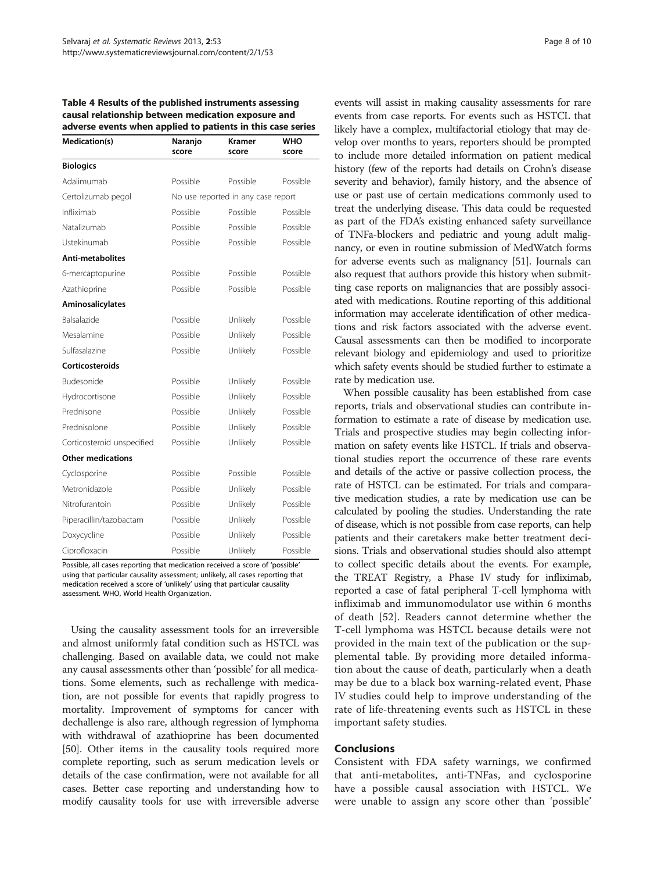<span id="page-7-0"></span>Table 4 Results of the published instruments assessing causal relationship between medication exposure and adverse events when applied to patients in this case series

| <b>Medication(s)</b>       | Naranjo<br>score | <b>Kramer</b><br>score             | WHO<br>score |  |
|----------------------------|------------------|------------------------------------|--------------|--|
| <b>Biologics</b>           |                  |                                    |              |  |
| Adalimumab                 | Possible         | Possible                           | Possible     |  |
| Certolizumab pegol         |                  | No use reported in any case report |              |  |
| Infliximab                 | Possible         | Possible                           | Possible     |  |
| Natalizumab                | Possible         | Possible                           | Possible     |  |
| Ustekinumab                | Possible         | Possible                           | Possible     |  |
| <b>Anti-metabolites</b>    |                  |                                    |              |  |
| 6-mercaptopurine           | Possible         | Possible                           | Possible     |  |
| Azathioprine               | Possible         | Possible                           | Possible     |  |
| <b>Aminosalicylates</b>    |                  |                                    |              |  |
| Balsalazide                | Possible         | Unlikely                           | Possible     |  |
| Mesalamine                 | Possible         | Unlikely                           | Possible     |  |
| Sulfasalazine              | Possible         | Unlikely                           | Possible     |  |
| Corticosteroids            |                  |                                    |              |  |
| Budesonide                 | Possible         | Unlikely                           | Possible     |  |
| Hydrocortisone             | Possible         | Unlikely                           | Possible     |  |
| Prednisone                 | Possible         | Unlikely                           | Possible     |  |
| Prednisolone               | Possible         | Unlikely                           | Possible     |  |
| Corticosteroid unspecified | Possible         | Unlikely                           | Possible     |  |
| <b>Other medications</b>   |                  |                                    |              |  |
| Cyclosporine               | Possible         | Possible                           | Possible     |  |
| Metronidazole              | Possible         | Unlikely                           | Possible     |  |
| Nitrofurantoin             | Possible         | Unlikely                           | Possible     |  |
| Piperacillin/tazobactam    | Possible         | Unlikely                           | Possible     |  |
| Doxycycline                | Possible         | Unlikely                           | Possible     |  |
| Ciprofloxacin              | Possible         | Unlikely                           | Possible     |  |

Possible, all cases reporting that medication received a score of 'possible' using that particular causality assessment; unlikely, all cases reporting that medication received a score of 'unlikely' using that particular causality assessment. WHO, World Health Organization.

Using the causality assessment tools for an irreversible and almost uniformly fatal condition such as HSTCL was challenging. Based on available data, we could not make any causal assessments other than 'possible' for all medications. Some elements, such as rechallenge with medication, are not possible for events that rapidly progress to mortality. Improvement of symptoms for cancer with dechallenge is also rare, although regression of lymphoma with withdrawal of azathioprine has been documented [[50](#page-9-0)]. Other items in the causality tools required more complete reporting, such as serum medication levels or details of the case confirmation, were not available for all cases. Better case reporting and understanding how to modify causality tools for use with irreversible adverse events will assist in making causality assessments for rare events from case reports. For events such as HSTCL that likely have a complex, multifactorial etiology that may develop over months to years, reporters should be prompted to include more detailed information on patient medical history (few of the reports had details on Crohn's disease severity and behavior), family history, and the absence of use or past use of certain medications commonly used to treat the underlying disease. This data could be requested as part of the FDA's existing enhanced safety surveillance of TNFa-blockers and pediatric and young adult malignancy, or even in routine submission of MedWatch forms for adverse events such as malignancy [[51](#page-9-0)]. Journals can also request that authors provide this history when submitting case reports on malignancies that are possibly associated with medications. Routine reporting of this additional information may accelerate identification of other medications and risk factors associated with the adverse event. Causal assessments can then be modified to incorporate relevant biology and epidemiology and used to prioritize which safety events should be studied further to estimate a rate by medication use.

When possible causality has been established from case reports, trials and observational studies can contribute information to estimate a rate of disease by medication use. Trials and prospective studies may begin collecting information on safety events like HSTCL. If trials and observational studies report the occurrence of these rare events and details of the active or passive collection process, the rate of HSTCL can be estimated. For trials and comparative medication studies, a rate by medication use can be calculated by pooling the studies. Understanding the rate of disease, which is not possible from case reports, can help patients and their caretakers make better treatment decisions. Trials and observational studies should also attempt to collect specific details about the events. For example, the TREAT Registry, a Phase IV study for infliximab, reported a case of fatal peripheral T-cell lymphoma with infliximab and immunomodulator use within 6 months of death [[52\]](#page-9-0). Readers cannot determine whether the T-cell lymphoma was HSTCL because details were not provided in the main text of the publication or the supplemental table. By providing more detailed information about the cause of death, particularly when a death may be due to a black box warning-related event, Phase IV studies could help to improve understanding of the rate of life-threatening events such as HSTCL in these important safety studies.

#### Conclusions

Consistent with FDA safety warnings, we confirmed that anti-metabolites, anti-TNFas, and cyclosporine have a possible causal association with HSTCL. We were unable to assign any score other than 'possible'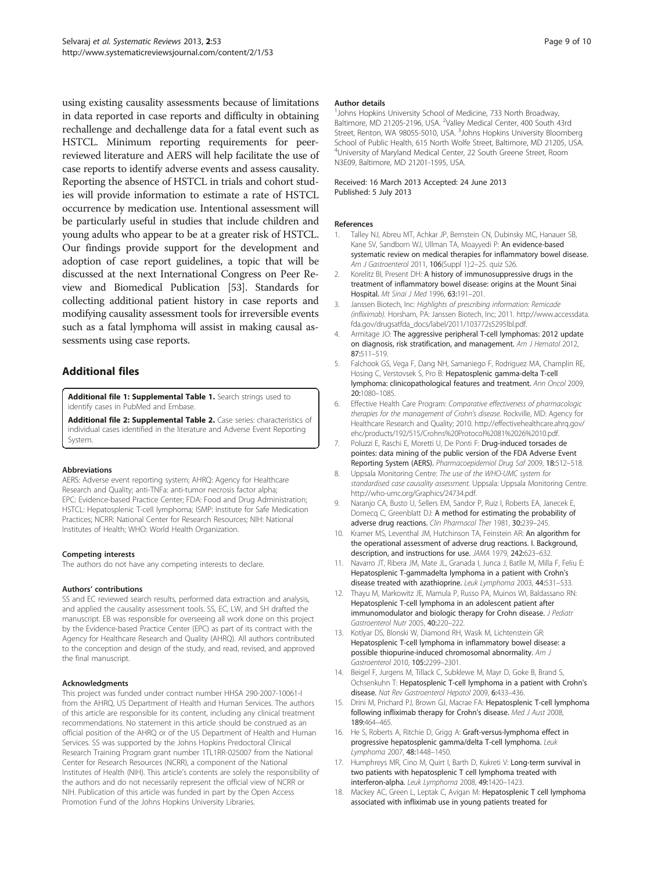<span id="page-8-0"></span>using existing causality assessments because of limitations in data reported in case reports and difficulty in obtaining rechallenge and dechallenge data for a fatal event such as HSTCL. Minimum reporting requirements for peerreviewed literature and AERS will help facilitate the use of case reports to identify adverse events and assess causality. Reporting the absence of HSTCL in trials and cohort studies will provide information to estimate a rate of HSTCL occurrence by medication use. Intentional assessment will be particularly useful in studies that include children and young adults who appear to be at a greater risk of HSTCL. Our findings provide support for the development and adoption of case report guidelines, a topic that will be discussed at the next International Congress on Peer Review and Biomedical Publication [[53](#page-9-0)]. Standards for collecting additional patient history in case reports and modifying causality assessment tools for irreversible events such as a fatal lymphoma will assist in making causal assessments using case reports.

# Additional files

[Additional file 1: Supplemental Table 1.](http://www.biomedcentral.com/content/supplementary/2046-4053-2-53-S1.docx) Search strings used to identify cases in PubMed and Embase.

[Additional file 2: Supplemental Table 2.](http://www.biomedcentral.com/content/supplementary/2046-4053-2-53-S2.docx) Case series: characteristics of individual cases identified in the literature and Adverse Event Reporting System.

#### Abbreviations

AERS: Adverse event reporting system; AHRQ: Agency for Healthcare Research and Quality; anti-TNFa: anti-tumor necrosis factor alpha; EPC: Evidence-based Practice Center; FDA: Food and Drug Administration; HSTCL: Hepatosplenic T-cell lymphoma; ISMP: Institute for Safe Medication Practices; NCRR: National Center for Research Resources; NIH: National Institutes of Health; WHO: World Health Organization.

#### Competing interests

The authors do not have any competing interests to declare.

#### Authors' contributions

SS and EC reviewed search results, performed data extraction and analysis, and applied the causality assessment tools. SS, EC, LW, and SH drafted the manuscript. EB was responsible for overseeing all work done on this project by the Evidence-based Practice Center (EPC) as part of its contract with the Agency for Healthcare Research and Quality (AHRQ). All authors contributed to the conception and design of the study, and read, revised, and approved the final manuscript.

#### Acknowledgments

This project was funded under contract number HHSA 290-2007-10061-I from the AHRQ, US Department of Health and Human Services. The authors of this article are responsible for its content, including any clinical treatment recommendations. No statement in this article should be construed as an official position of the AHRQ or of the US Department of Health and Human Services. SS was supported by the Johns Hopkins Predoctoral Clinical Research Training Program grant number 1TL1RR-025007 from the National Center for Research Resources (NCRR), a component of the National Institutes of Health (NIH). This article's contents are solely the responsibility of the authors and do not necessarily represent the official view of NCRR or NIH. Publication of this article was funded in part by the Open Access Promotion Fund of the Johns Hopkins University Libraries.

#### Author details

<sup>1</sup> Johns Hopkins University School of Medicine, 733 North Broadway, Baltimore, MD 21205-2196, USA. <sup>2</sup>Valley Medical Center, 400 South 43rd Street, Renton, WA 98055-5010, USA. <sup>3</sup> Johns Hopkins University Bloomberg School of Public Health, 615 North Wolfe Street, Baltimore, MD 21205, USA. 4 University of Maryland Medical Center, 22 South Greene Street, Room N3E09, Baltimore, MD 21201-1595, USA.

#### Received: 16 March 2013 Accepted: 24 June 2013 Published: 5 July 2013

#### References

- 1. Talley NJ, Abreu MT, Achkar JP, Bernstein CN, Dubinsky MC, Hanauer SB, Kane SV, Sandborn WJ, Ullman TA, Moayyedi P: An evidence-based systematic review on medical therapies for inflammatory bowel disease. Am J Gastroenterol 2011, 106(Suppl 1):2–25. quiz S26.
- 2. Korelitz BI, Present DH: A history of immunosuppressive drugs in the treatment of inflammatory bowel disease: origins at the Mount Sinai Hospital. Mt Sinai J Med 1996, 63:191–201.
- 3. Janssen Biotech, Inc: Highlights of prescribing information: Remicade (infliximab). Horsham, PA: Janssen Biotech, Inc; 2011. [http://www.accessdata.](http://www.accessdata.fda.gov/drugsatfda_docs/label/2011/103772s5295lbl.pdf) [fda.gov/drugsatfda\\_docs/label/2011/103772s5295lbl.pdf.](http://www.accessdata.fda.gov/drugsatfda_docs/label/2011/103772s5295lbl.pdf)
- 4. Armitage JO: The aggressive peripheral T-cell lymphomas: 2012 update on diagnosis, risk stratification, and management. Am J Hematol 2012, 87:511–519.
- 5. Falchook GS, Vega F, Dang NH, Samaniego F, Rodriguez MA, Champlin RE, Hosing C, Verstovsek S, Pro B: Hepatosplenic gamma-delta T-cell lymphoma: clinicopathological features and treatment. Ann Oncol 2009, 20:1080–1085.
- 6. Effective Health Care Program: Comparative effectiveness of pharmacologic therapies for the management of Crohn's disease. Rockville, MD: Agency for Healthcare Research and Quality; 2010. [http://effectivehealthcare.ahrq.gov/](http://effectivehealthcare.ahrq.gov/ehc/products/192/515/Crohns%20Protocol%2081%2026%2010.pdf) [ehc/products/192/515/Crohns%20Protocol%2081%2026%2010.pdf.](http://effectivehealthcare.ahrq.gov/ehc/products/192/515/Crohns%20Protocol%2081%2026%2010.pdf)
- 7. Poluzzi E, Raschi E, Moretti U, De Ponti F: Drug-induced torsades de pointes: data mining of the public version of the FDA Adverse Event Reporting System (AERS). Pharmacoepidemiol Drug Saf 2009, 18:512–518.
- 8. Uppsala Monitoring Centre: The use of the WHO-UMC system for standardised case causality assessment. Uppsala: Uppsala Monitoring Centre. <http://who-umc.org/Graphics/24734.pdf>.
- 9. Naranjo CA, Busto U, Sellers EM, Sandor P, Ruiz I, Roberts EA, Janecek E, Domecq C, Greenblatt DJ: A method for estimating the probability of adverse drug reactions. Clin Pharmacol Ther 1981, 30:239–245.
- 10. Kramer MS, Leventhal JM, Hutchinson TA, Feinstein AR: An algorithm for the operational assessment of adverse drug reactions. I. Background, description, and instructions for use. JAMA 1979, 242:623–632.
- 11. Navarro JT, Ribera JM, Mate JL, Granada I, Junca J, Batlle M, Milla F, Feliu E: Hepatosplenic T-gammadelta lymphoma in a patient with Crohn's disease treated with azathioprine. Leuk Lymphoma 2003, 44:531–533.
- 12. Thayu M, Markowitz JE, Mamula P, Russo PA, Muinos WI, Baldassano RN: Hepatosplenic T-cell lymphoma in an adolescent patient after immunomodulator and biologic therapy for Crohn disease. J Pediatr Gastroenterol Nutr 2005, 40:220–222.
- 13. Kotlyar DS, Blonski W, Diamond RH, Wasik M, Lichtenstein GR: Hepatosplenic T-cell lymphoma in inflammatory bowel disease: a possible thiopurine-induced chromosomal abnormality. Am J Gastroenterol 2010, 105:2299–2301.
- 14. Beigel F, Jurgens M, Tillack C, Subklewe M, Mayr D, Goke B, Brand S, Ochsenkuhn T: Hepatosplenic T-cell lymphoma in a patient with Crohn's disease. Nat Rev Gastroenterol Hepatol 2009, 6:433–436.
- 15. Drini M, Prichard PJ, Brown GJ, Macrae FA: Hepatosplenic T-cell lymphoma following infliximab therapy for Crohn's disease. Med J Aust 2008, 189:464–465.
- 16. He S, Roberts A, Ritchie D, Grigg A: Graft-versus-lymphoma effect in progressive hepatosplenic gamma/delta T-cell lymphoma. Leuk Lymphoma 2007, 48:1448–1450.
- 17. Humphreys MR, Cino M, Quirt I, Barth D, Kukreti V: Long-term survival in two patients with hepatosplenic T cell lymphoma treated with interferon-alpha. Leuk Lymphoma 2008, 49:1420–1423.
- 18. Mackey AC, Green L, Leptak C, Avigan M: Hepatosplenic T cell lymphoma associated with infliximab use in young patients treated for